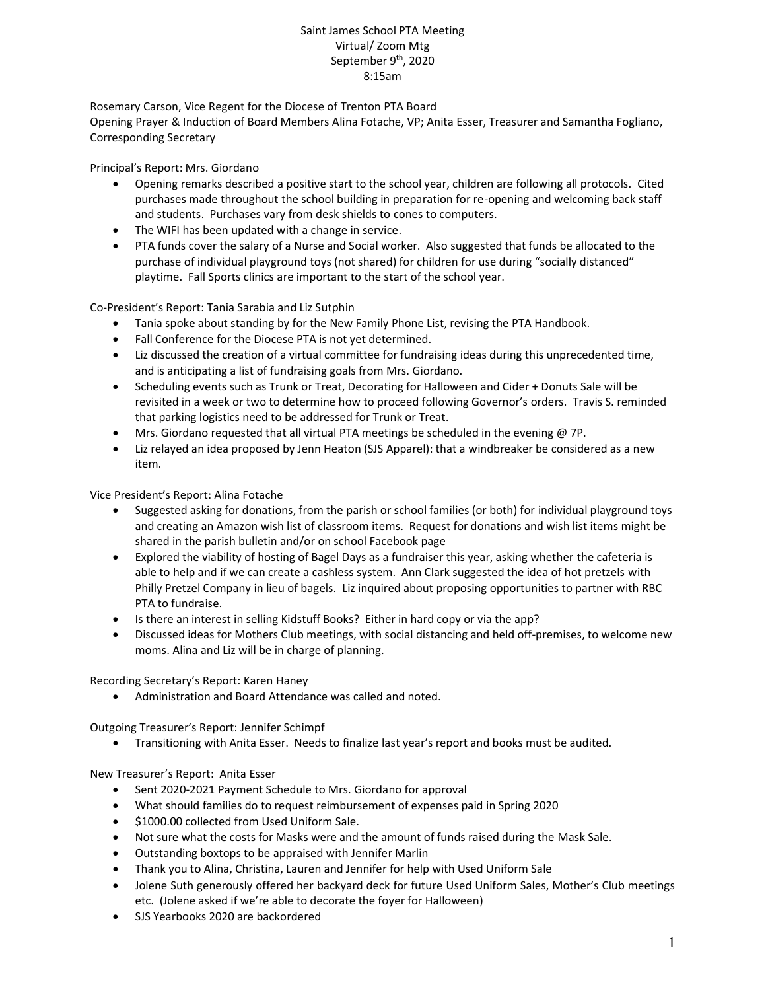## Saint James School PTA Meeting Virtual/ Zoom Mtg September 9<sup>th</sup>, 2020 8:15am

Rosemary Carson, Vice Regent for the Diocese of Trenton PTA Board Opening Prayer & Induction of Board Members Alina Fotache, VP; Anita Esser, Treasurer and Samantha Fogliano, Corresponding Secretary

Principal's Report: Mrs. Giordano

- Opening remarks described a positive start to the school year, children are following all protocols. Cited purchases made throughout the school building in preparation for re-opening and welcoming back staff and students. Purchases vary from desk shields to cones to computers.
- The WIFI has been updated with a change in service.
- PTA funds cover the salary of a Nurse and Social worker. Also suggested that funds be allocated to the purchase of individual playground toys (not shared) for children for use during "socially distanced" playtime. Fall Sports clinics are important to the start of the school year.

Co-President's Report: Tania Sarabia and Liz Sutphin

- Tania spoke about standing by for the New Family Phone List, revising the PTA Handbook.
- Fall Conference for the Diocese PTA is not yet determined.
- Liz discussed the creation of a virtual committee for fundraising ideas during this unprecedented time, and is anticipating a list of fundraising goals from Mrs. Giordano.
- Scheduling events such as Trunk or Treat, Decorating for Halloween and Cider + Donuts Sale will be revisited in a week or two to determine how to proceed following Governor's orders. Travis S. reminded that parking logistics need to be addressed for Trunk or Treat.
- **Mrs. Giordano requested that all virtual PTA meetings be scheduled in the evening @ 7P.**
- Liz relayed an idea proposed by Jenn Heaton (SJS Apparel): that a windbreaker be considered as a new item.

Vice President's Report: Alina Fotache

- Suggested asking for donations, from the parish or school families (or both) for individual playground toys and creating an Amazon wish list of classroom items. Request for donations and wish list items might be shared in the parish bulletin and/or on school Facebook page
- Explored the viability of hosting of Bagel Days as a fundraiser this year, asking whether the cafeteria is able to help and if we can create a cashless system. Ann Clark suggested the idea of hot pretzels with Philly Pretzel Company in lieu of bagels. Liz inquired about proposing opportunities to partner with RBC PTA to fundraise.
- Is there an interest in selling Kidstuff Books? Either in hard copy or via the app?
- Discussed ideas for Mothers Club meetings, with social distancing and held off-premises, to welcome new moms. Alina and Liz will be in charge of planning.

Recording Secretary's Report: Karen Haney

Administration and Board Attendance was called and noted.

Outgoing Treasurer's Report: Jennifer Schimpf

Transitioning with Anita Esser. Needs to finalize last year's report and books must be audited.

New Treasurer's Report: Anita Esser

- Sent 2020-2021 Payment Schedule to Mrs. Giordano for approval
- What should families do to request reimbursement of expenses paid in Spring 2020
- $\bullet$  \$1000.00 collected from Used Uniform Sale.
- Not sure what the costs for Masks were and the amount of funds raised during the Mask Sale.
- Outstanding boxtops to be appraised with Jennifer Marlin
- Thank you to Alina, Christina, Lauren and Jennifer for help with Used Uniform Sale
- Jolene Suth generously offered her backyard deck for future Used Uniform Sales, Mother's Club meetings etc. (Jolene asked if we're able to decorate the foyer for Halloween)
- SJS Yearbooks 2020 are backordered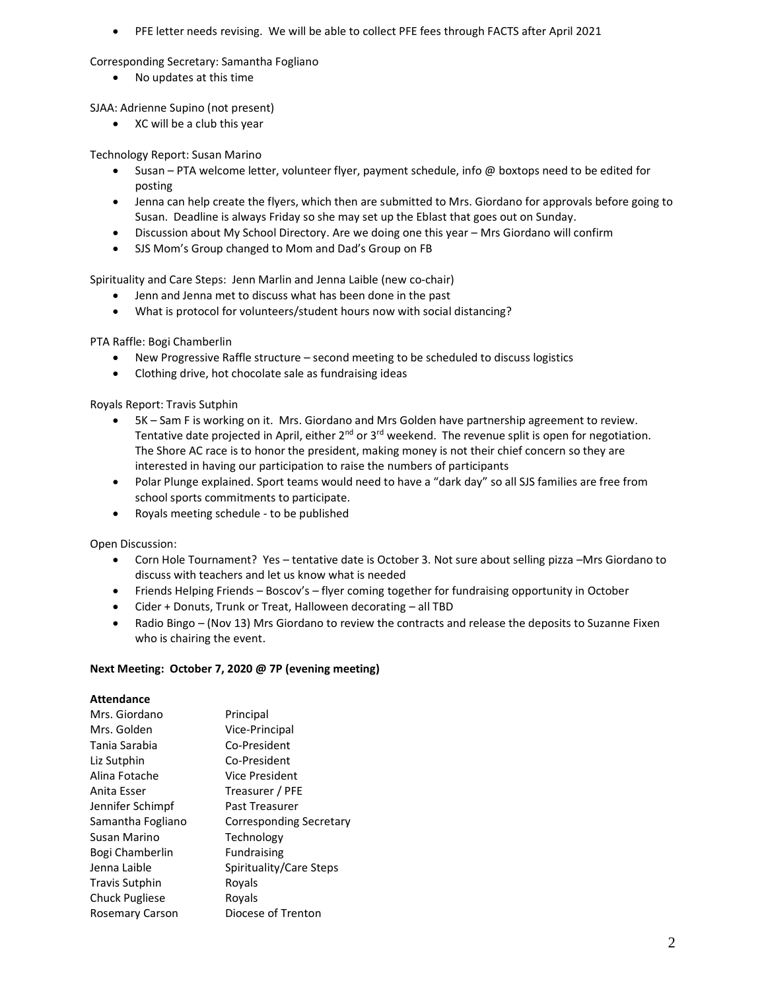PFE letter needs revising. We will be able to collect PFE fees through FACTS after April 2021

Corresponding Secretary: Samantha Fogliano

No updates at this time

SJAA: Adrienne Supino (not present)

XC will be a club this year

Technology Report: Susan Marino

- Susan PTA welcome letter, volunteer flyer, payment schedule, info @ boxtops need to be edited for posting
- Jenna can help create the flyers, which then are submitted to Mrs. Giordano for approvals before going to Susan. Deadline is always Friday so she may set up the Eblast that goes out on Sunday.
- Discussion about My School Directory. Are we doing one this year Mrs Giordano will confirm
- SJS Mom's Group changed to Mom and Dad's Group on FB

Spirituality and Care Steps: Jenn Marlin and Jenna Laible (new co-chair)

- Jenn and Jenna met to discuss what has been done in the past
- What is protocol for volunteers/student hours now with social distancing?

PTA Raffle: Bogi Chamberlin

- New Progressive Raffle structure second meeting to be scheduled to discuss logistics
- Clothing drive, hot chocolate sale as fundraising ideas

Royals Report: Travis Sutphin

- 5K Sam F is working on it. Mrs. Giordano and Mrs Golden have partnership agreement to review. Tentative date projected in April, either  $2<sup>nd</sup>$  or  $3<sup>rd</sup>$  weekend. The revenue split is open for negotiation. The Shore AC race is to honor the president, making money is not their chief concern so they are interested in having our participation to raise the numbers of participants
- Polar Plunge explained. Sport teams would need to have a "dark day" so all SJS families are free from school sports commitments to participate.
- Royals meeting schedule to be published

Open Discussion:

- Corn Hole Tournament? Yes tentative date is October 3. Not sure about selling pizza –Mrs Giordano to discuss with teachers and let us know what is needed
- Friends Helping Friends Boscov's flyer coming together for fundraising opportunity in October
- Cider + Donuts, Trunk or Treat, Halloween decorating all TBD
- Radio Bingo (Nov 13) Mrs Giordano to review the contracts and release the deposits to Suzanne Fixen who is chairing the event.

## **Next Meeting: October 7, 2020 @ 7P (evening meeting)**

## **Attendance**

| Principal               |
|-------------------------|
| Vice-Principal          |
| Co-President            |
| Co-President            |
| Vice President          |
| Treasurer / PFE         |
| Past Treasurer          |
| Corresponding Secretary |
| Technology              |
| <b>Fundraising</b>      |
| Spirituality/Care Steps |
| Royals                  |
| Rovals                  |
| Diocese of Trenton      |
|                         |